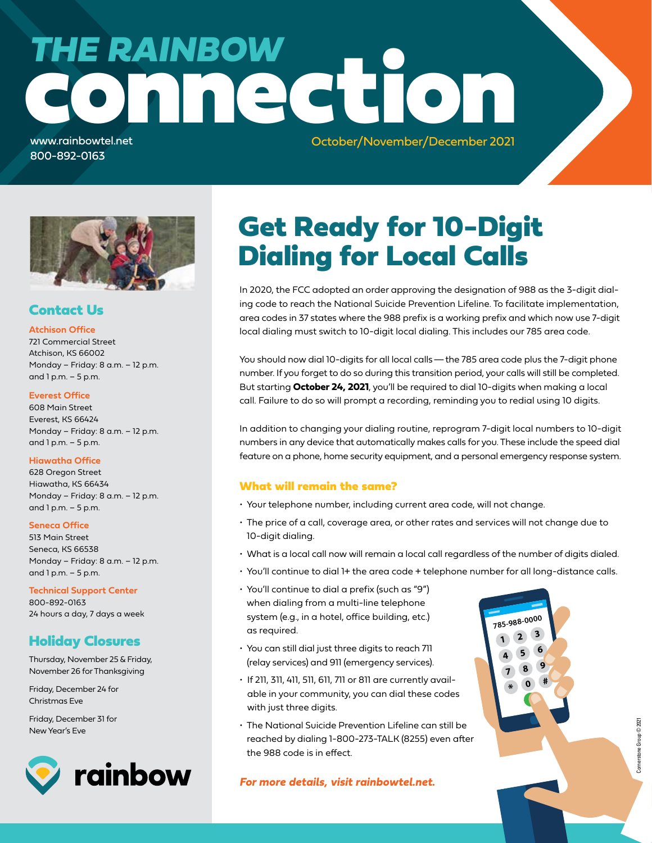# connection *THE RAINBOW*

www.rainbowtel.net 800-892-0163

October/November/December 2021



# Contact Us

### **Atchison Office**

721 Commercial Street Atchison, KS 66002 Monday – Friday: 8 a.m. – 12 p.m. and  $1 p.m. - 5 p.m.$ 

#### **Everest Office**

608 Main Street Everest, KS 66424 Monday – Friday: 8 a.m. – 12 p.m. and  $1 p.m. - 5 p.m.$ 

### **Hiawatha Office**

628 Oregon Street Hiawatha, KS 66434 Monday – Friday: 8 a.m. – 12 p.m. and 1 p.m. – 5 p.m.

#### **Seneca Office**

513 Main Street Seneca, KS 66538 Monday – Friday: 8 a.m. – 12 p.m. and 1 p.m. – 5 p.m.

#### **Technical Support Center**

800-892-0163 24 hours a day, 7 days a week

# Holiday Closures

Thursday, November 25 & Friday, November 26 for Thanksgiving

Friday, December 24 for Christmas Eve

Friday, December 31 for New Year's Eve



# Get Ready for 10-Digit Dialing for Local Calls

In 2020, the FCC adopted an order approving the designation of 988 as the 3-digit dialing code to reach the National Suicide Prevention Lifeline. To facilitate implementation, area codes in 37 states where the 988 prefix is a working prefix and which now use 7-digit local dialing must switch to 10-digit local dialing. This includes our 785 area code.

You should now dial 10-digits for all local calls—the 785 area code plus the 7-digit phone number. If you forget to do so during this transition period, your calls will still be completed. But starting **October 24, 2021**, you'll be required to dial 10-digits when making a local call. Failure to do so will prompt a recording, reminding you to redial using 10 digits.

In addition to changing your dialing routine, reprogram 7-digit local numbers to 10-digit numbers in any device that automatically makes calls for you. These include the speed dial feature on a phone, home security equipment, and a personal emergency response system.

### What will remain the same?

- Your telephone number, including current area code, will not change.
- The price of a call, coverage area, or other rates and services will not change due to 10-digit dialing.
- What is a local call now will remain a local call regardless of the number of digits dialed.
- You'll continue to dial 1+ the area code + telephone number for all long-distance calls.

**<sup>1</sup> <sup>2</sup> <sup>3</sup> <sup>4</sup> <sup>5</sup> <sup>6</sup> <sup>7</sup> <sup>8</sup> <sup>9</sup>**

**785-988-<sup>0000</sup>**

**\*<sup>0</sup> #**

- You'll continue to dial a prefix (such as "9") when dialing from a multi-line telephone system (e.g., in a hotel, office building, etc.) as required.
- You can still dial just three digits to reach 711 (relay services) and 911 (emergency services).
- If 211, 311, 411, 511, 611, 711 or 811 are currently available in your community, you can dial these codes with just three digits.
- The National Suicide Prevention Lifeline can still be reached by dialing 1-800-273-TALK (8255) even after the 988 code is in effect.

### *For more details, visit rainbowtel.net.*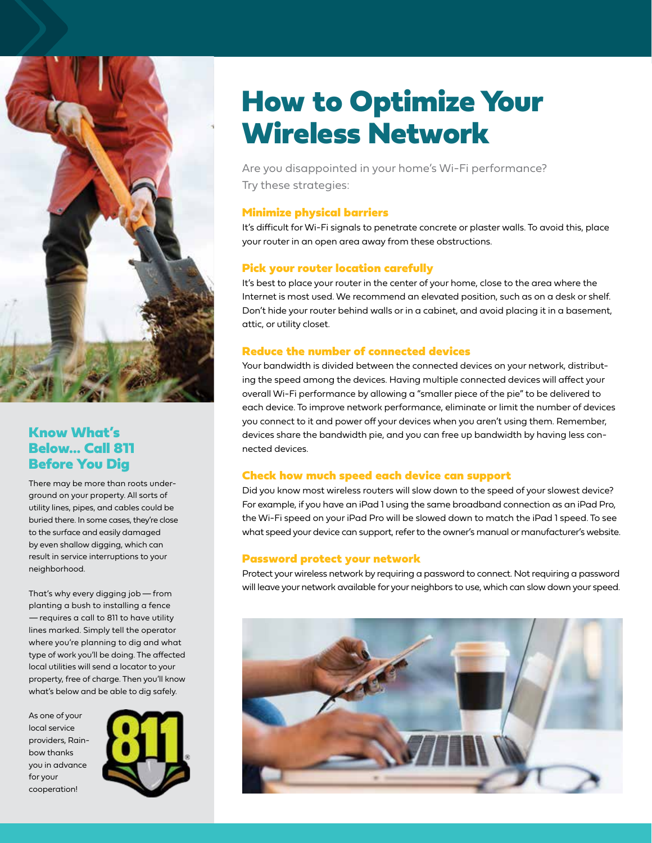

### Know What's Below… Call 811 Before You Dig

There may be more than roots underground on your property. All sorts of utility lines, pipes, and cables could be buried there. In some cases, they're close to the surface and easily damaged by even shallow digging, which can result in service interruptions to your neighborhood.

That's why every digging job—from planting a bush to installing a fence —requires a call to 811 to have utility lines marked. Simply tell the operator where you're planning to dig and what type of work you'll be doing. The affected local utilities will send a locator to your property, free of charge. Then you'll know what's below and be able to dig safely.

As one of your local service providers, Rainbow thanks you in advance for your cooperation!



# How to Optimize Your Wireless Network

Are you disappointed in your home's Wi-Fi performance? Try these strategies:

### Minimize physical barriers

It's difficult for Wi-Fi signals to penetrate concrete or plaster walls. To avoid this, place your router in an open area away from these obstructions.

### Pick your router location carefully

It's best to place your router in the center of your home, close to the area where the Internet is most used. We recommend an elevated position, such as on a desk or shelf. Don't hide your router behind walls or in a cabinet, and avoid placing it in a basement, attic, or utility closet.

### Reduce the number of connected devices

Your bandwidth is divided between the connected devices on your network, distributing the speed among the devices. Having multiple connected devices will affect your overall Wi-Fi performance by allowing a "smaller piece of the pie" to be delivered to each device. To improve network performance, eliminate or limit the number of devices you connect to it and power off your devices when you aren't using them. Remember, devices share the bandwidth pie, and you can free up bandwidth by having less connected devices.

### Check how much speed each device can support

Did you know most wireless routers will slow down to the speed of your slowest device? For example, if you have an iPad 1 using the same broadband connection as an iPad Pro, the Wi-Fi speed on your iPad Pro will be slowed down to match the iPad 1 speed. To see what speed your device can support, refer to the owner's manual or manufacturer's website.

### Password protect your network

Protect your wireless network by requiring a password to connect. Not requiring a password will leave your network available for your neighbors to use, which can slow down your speed.

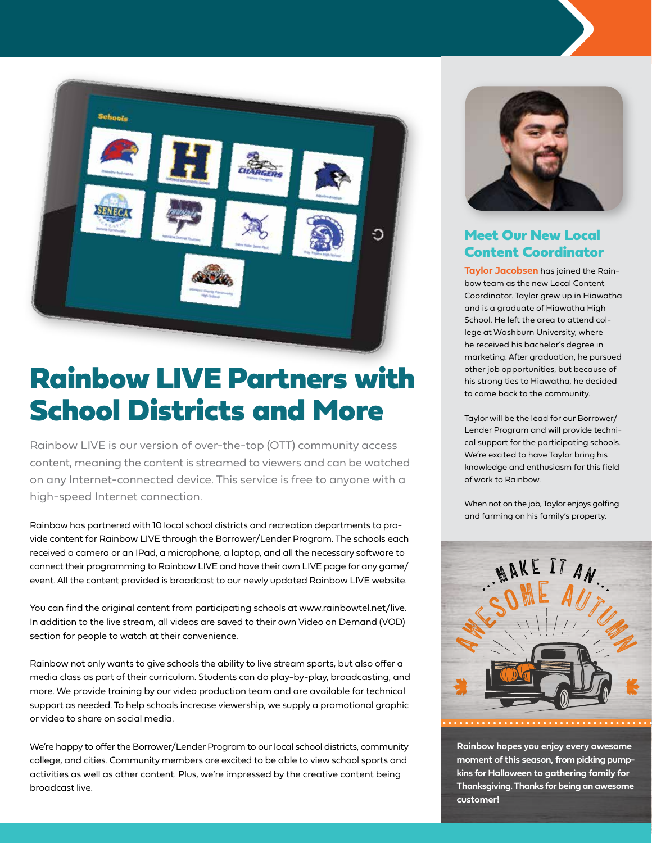

# Rainbow LIVE Partners with School Districts and More

Rainbow LIVE is our version of over-the-top (OTT) community access content, meaning the content is streamed to viewers and can be watched on any Internet-connected device. This service is free to anyone with a high-speed Internet connection.

Rainbow has partnered with 10 local school districts and recreation departments to provide content for Rainbow LIVE through the Borrower/Lender Program. The schools each received a camera or an IPad, a microphone, a laptop, and all the necessary software to connect their programming to Rainbow LIVE and have their own LIVE page for any game/ event. All the content provided is broadcast to our newly updated Rainbow LIVE website.

You can find the original content from participating schools at www.rainbowtel.net/live. In addition to the live stream, all videos are saved to their own Video on Demand (VOD) section for people to watch at their convenience.

Rainbow not only wants to give schools the ability to live stream sports, but also offer a media class as part of their curriculum. Students can do play-by-play, broadcasting, and more. We provide training by our video production team and are available for technical support as needed. To help schools increase viewership, we supply a promotional graphic or video to share on social media.

We're happy to offer the Borrower/Lender Program to our local school districts, community college, and cities. Community members are excited to be able to view school sports and activities as well as other content. Plus, we're impressed by the creative content being broadcast live.



# Meet Our New Local Content Coordinator

**Taylor Jacobsen** has joined the Rainbow team as the new Local Content Coordinator. Taylor grew up in Hiawatha and is a graduate of Hiawatha High School. He left the area to attend college at Washburn University, where he received his bachelor's degree in marketing. After graduation, he pursued other job opportunities, but because of his strong ties to Hiawatha, he decided to come back to the community.

Taylor will be the lead for our Borrower/ Lender Program and will provide technical support for the participating schools. We're excited to have Taylor bring his knowledge and enthusiasm for this field of work to Rainbow.

When not on the job, Taylor enjoys golfing and farming on his family's property.



**Rainbow hopes you enjoy every awesome moment of this season, from picking pumpkins for Halloween to gathering family for Thanksgiving. Thanks for being an awesome customer!**